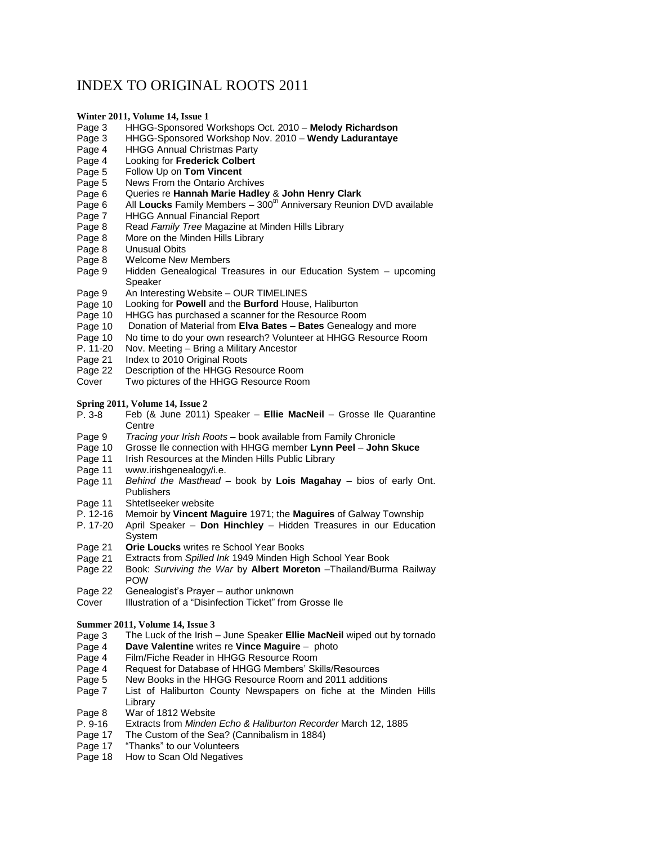## INDEX TO ORIGINAL ROOTS 2011

## **Winter 2011, Volume 14, Issue 1**

- Page 3 HHGG-Sponsored Workshops Oct. 2010 **Melody Richardson**
- HHGG-Sponsored Workshop Nov. 2010 Wendy Ladurantaye
- Page 4 HHGG Annual Christmas Party
- Page 4 Looking for **Frederick Colbert**
- Page 5 Follow Up on **Tom Vincent**
- Page 5 News From the Ontario Archives
- Page 6 Queries re **Hannah Marie Hadley** & **John Henry Clark**
- Page 6 All Loucks Family Members 300<sup>th</sup> Anniversary Reunion DVD available
- Page 7 HHGG Annual Financial Report
- Page 8 Read *Family Tree* Magazine at Minden Hills Library<br>Page 8 More on the Minden Hills Library
- More on the Minden Hills Library
- Page 8 Unusual Obits
- Page 8 Welcome New Members
- Page 9 Hidden Genealogical Treasures in our Education System upcoming Speaker
- Page 9 An Interesting Website OUR TIMELINES<br>Page 10 Looking for Powell and the Burford House
- Looking for **Powell** and the **Burford** House, Haliburton
- Page 10 HHGG has purchased a scanner for the Resource Room
- Page 10 Donation of Material from **Elva Bates Bates** Genealogy and more
- Page 10 No time to do your own research? Volunteer at HHGG Resource Room<br>P. 11-20 Nov. Meeting Bring a Military Ancestor
- P. 11-20 Nov. Meeting Bring a Military Ancestor
- Page 21 Index to 2010 Original Roots
- Page 22 Description of the HHGG Resource Room<br>Cover Two pictures of the HHGG Resource Roon
- Two pictures of the HHGG Resource Room

**Spring 2011, Volume 14, Issue 2**

- P. 3-8 Feb (& June 2011) Speaker **Ellie MacNeil** Grosse Ile Quarantine **Centre**
- Page 9 *Tracing your Irish Roots* book available from Family Chronicle
- Page 10 Grosse Ile connection with HHGG member **Lynn Peel John Skuce**
- Page 11 Irish Resources at the Minden Hills Public Library
- Page 11 www.irishgenealogy/i.e.
- Page 11 *Behind the Masthead* book by **Lois Magahay** bios of early Ont. **Publishers**
- Page 11 Shtetlseeker website
- P. 12-16 Memoir by **Vincent Maguire** 1971; the **Maguires** of Galway Township
- P. 17-20 April Speaker **Don Hinchley** Hidden Treasures in our Education System
- Page 21 **Orie Loucks** writes re School Year Books
- Page 21 Extracts from *Spilled Ink* 1949 Minden High School Year Book
- Page 22 Book: *Surviving the War* by **Albert Moreton** –Thailand/Burma Railway POW
- Page 22 Genealogist's Prayer author unknown
- Cover **Illustration of a "Disinfection Ticket" from Grosse Ile**

## **Summer 2011, Volume 14, Issue 3**

- Page 3 The Luck of the Irish June Speaker **Ellie MacNeil** wiped out by tornado
- Page 4 **Dave Valentine** writes re **Vince Maguire** photo
- 
- Page 4 Film/Fiche Reader in HHGG Resource Room<br>Page 4 Request for Database of HHGG Members' Sk
- Page 4 Request for Database of HHGG Members' Skills/Resources<br>Page 5 New Books in the HHGG Resource Room and 2011 addition New Books in the HHGG Resource Room and 2011 additions
- Page 7 List of Haliburton County Newspapers on fiche at the Minden Hills Library
- Page 8 War of 1812 Website
- P. 9-16 Extracts from *Minden Echo & Haliburton Recorder* March 12, 1885
- Page 17 The Custom of the Sea? (Cannibalism in 1884)
- Page 17 "Thanks" to our Volunteers
- Page 18 How to Scan Old Negatives